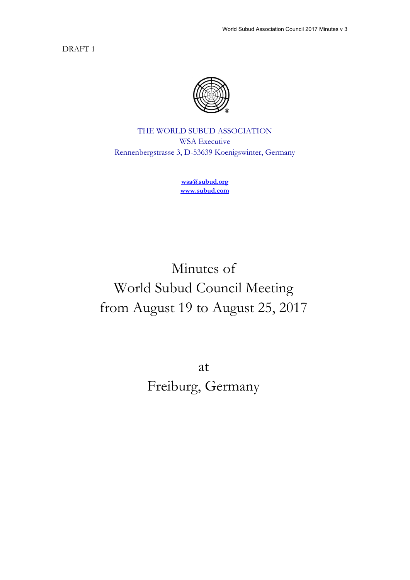DRAFT 1



THE WORLD SUBUD ASSOCIATION WSA Executive Rennenbergstrasse 3, D-53639 Koenigswinter, Germany

> **wsa@subud.org www.subud.com**

Minutes of World Subud Council Meeting from August 19 to August 25, 2017

> at Freiburg, Germany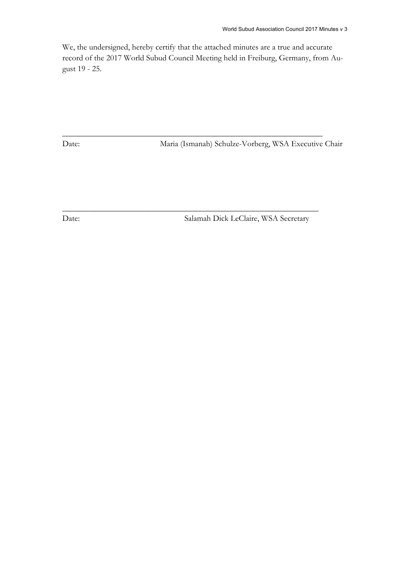We, the undersigned, hereby certify that the attached minutes are a true and accurate record of the 2017 World Subud Council Meeting held in Freiburg, Germany, from August 19 - 25.

\_\_\_\_\_\_\_\_\_\_\_\_\_\_\_\_\_\_\_\_\_\_\_\_\_\_\_\_\_\_\_\_\_\_\_\_\_\_\_\_\_\_\_\_\_\_\_\_\_\_\_\_\_\_\_\_\_\_\_\_\_\_\_

\_\_\_\_\_\_\_\_\_\_\_\_\_\_\_\_\_\_\_\_\_\_\_\_\_\_\_\_\_\_\_\_\_\_\_\_\_\_\_\_\_\_\_\_\_\_\_\_\_\_\_\_\_\_\_\_\_\_\_\_\_\_

Date: Maria (Ismanah) Schulze-Vorberg, WSA Executive Chair

Date: Salamah Dick LeClaire, WSA Secretary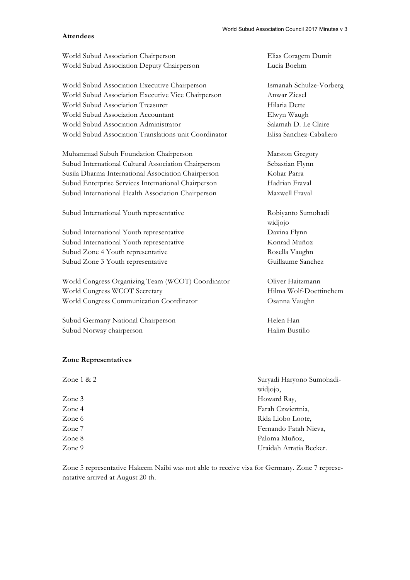#### **Attendees**

World Subud Association Chairperson Elias Coragem Dumit World Subud Association Deputy Chairperson Lucia Boehm

World Subud Association Executive Chairperson Ismanah Schulze-Vorberg World Subud Association Executive Vice Chairperson Anwar Ziesel World Subud Association Treasurer high Hilaria Dette World Subud Association Accountant Elwyn Waugh World Subud Association Administrator Salamah D. Le Claire World Subud Association Translations unit Coordinator Elisa Sanchez-Caballero

Muhammad Subuh Foundation Chairperson Marston Gregory Subud International Cultural Association Chairperson Sebastian Flynn Susila Dharma International Association Chairperson Kohar Parra Subud Enterprise Services International Chairperson Hadrian Fraval Subud International Health Association Chairperson Maxwell Fraval

Subud International Youth representative Theorem Robiyanto Sumohadi

Subud International Youth representative Davina Flynn Subud International Youth representative Konrad Muñoz Subud Zone 4 Youth representative Rosella Vaughn Subud Zone 3 Youth representative Guillaume Sanchez

World Congress Organizing Team (WCOT) Coordinator Oliver Haitzmann World Congress WCOT Secretary Hilma Wolf-Doettinchem World Congress Communication Coordinator Osanna Vaughn

Subud Germany National Chairperson Helen Han Subud Norway chairperson Halim Bustillo

#### **Zone Representatives**

| Zone $1 & 2$ | Suryadi Haryono Sumohadi- |
|--------------|---------------------------|
|              | widjojo,                  |
| Zone 3       | Howard Ray,               |
| Zone 4       | Farah Czwiertnia,         |
| Zone 6       | Rida Liobo Loote,         |
| Zone 7       | Fernando Fatah Nieva,     |
| Zone 8       | Paloma Muñoz,             |
| Zone 9       | Uraidah Arratia Becker.   |

Zone 5 representative Hakeem Naibi was not able to receive visa for Germany. Zone 7 represenatative arrived at August 20 th.

widjojo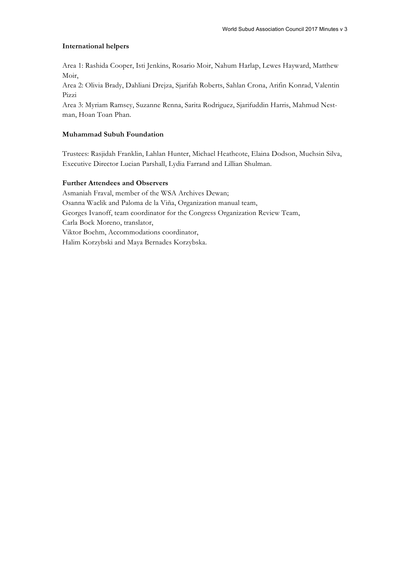#### **International helpers**

Area 1: Rashida Cooper, Isti Jenkins, Rosario Moir, Nahum Harlap, Lewes Hayward, Matthew Moir,

Area 2: Olivia Brady, Dahliani Drejza, Sjarifah Roberts, Sahlan Crona, Arifin Konrad, Valentin Pizzi

Area 3: Myriam Ramsey, Suzanne Renna, Sarita Rodriguez, Sjarifuddin Harris, Mahmud Nestman, Hoan Toan Phan.

#### **Muhammad Subuh Foundation**

Trustees: Rasjidah Franklin, Lahlan Hunter, Michael Heathcote, Elaina Dodson, Muchsin Silva, Executive Director Lucian Parshall, Lydia Farrand and Lillian Shulman.

#### **Further Attendees and Observers**

Asmaniah Fraval, member of the WSA Archives Dewan; Osanna Waclik and Paloma de la Viña, Organization manual team, Georges Ivanoff, team coordinator for the Congress Organization Review Team, Carla Bock Moreno, translator, Viktor Boehm, Accommodations coordinator, Halim Korzybski and Maya Bernades Korzybska.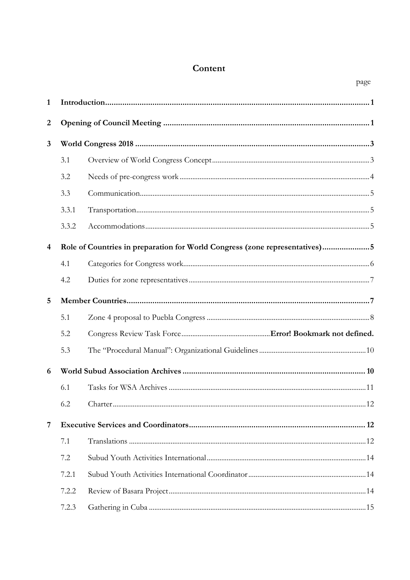# Content

page

| $\mathbf{1}$            |       |                                                                             |  |
|-------------------------|-------|-----------------------------------------------------------------------------|--|
| $\boldsymbol{2}$        |       |                                                                             |  |
| $\mathbf{3}$            |       |                                                                             |  |
|                         | 3.1   |                                                                             |  |
|                         | 3.2   |                                                                             |  |
|                         | 3.3   |                                                                             |  |
|                         | 3.3.1 |                                                                             |  |
|                         | 3.3.2 |                                                                             |  |
| $\overline{\mathbf{4}}$ |       | Role of Countries in preparation for World Congress (zone representatives)5 |  |
|                         | 4.1   |                                                                             |  |
|                         | 4.2   |                                                                             |  |
| 5                       |       |                                                                             |  |
|                         | 5.1   |                                                                             |  |
|                         | 5.2   |                                                                             |  |
|                         | 5.3   |                                                                             |  |
| 6                       |       |                                                                             |  |
|                         | 6.1   |                                                                             |  |
|                         | 6.2   |                                                                             |  |
| 7                       |       |                                                                             |  |
|                         | 7.1   |                                                                             |  |
|                         | 7.2   |                                                                             |  |
|                         | 7.2.1 |                                                                             |  |
|                         | 7.2.2 |                                                                             |  |
|                         | 7.2.3 |                                                                             |  |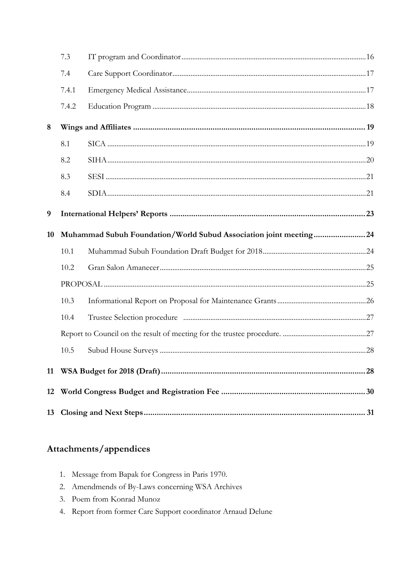|    | 7.3   |                                                                   |  |
|----|-------|-------------------------------------------------------------------|--|
|    | 7.4   |                                                                   |  |
|    | 7.4.1 |                                                                   |  |
|    | 7.4.2 |                                                                   |  |
| 8  |       |                                                                   |  |
|    | 8.1   |                                                                   |  |
|    | 8.2   |                                                                   |  |
|    | 8.3   |                                                                   |  |
|    | 8.4   |                                                                   |  |
| 9  |       |                                                                   |  |
| 10 |       | Muhammad Subuh Foundation/World Subud Association joint meeting24 |  |
|    | 10.1  |                                                                   |  |
|    | 10.2  |                                                                   |  |
|    |       |                                                                   |  |
|    | 10.3  |                                                                   |  |
|    | 10.4  |                                                                   |  |
|    |       |                                                                   |  |
|    | 10.5  |                                                                   |  |
| 11 |       |                                                                   |  |
| 12 |       |                                                                   |  |
|    |       |                                                                   |  |

# Attachments/appendices

- 1. Message from Bapak for Congress in Paris 1970.
- 2. Amendmends of By-Laws concerning WSA Archives
- 3. Poem from Konrad Munoz
- 4. Report from former Care Support coordinator Arnaud Delune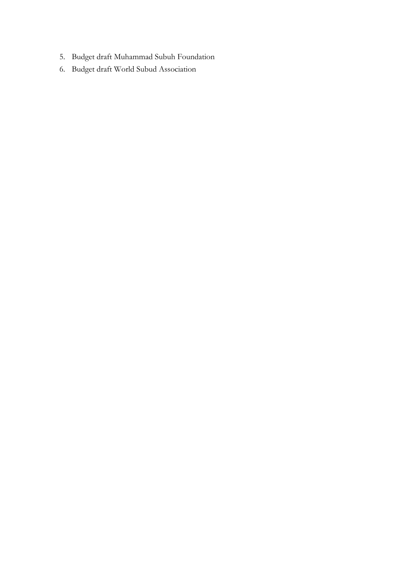- 5. Budget draft Muhammad Subuh Foundation
- 6. Budget draft World Subud Association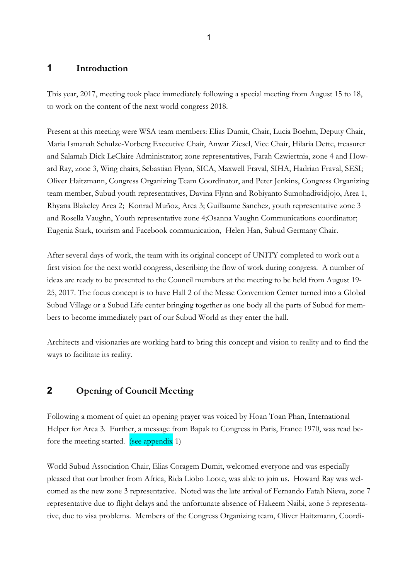### **1 Introduction**

This year, 2017, meeting took place immediately following a special meeting from August 15 to 18, to work on the content of the next world congress 2018.

Present at this meeting were WSA team members: Elias Dumit, Chair, Lucia Boehm, Deputy Chair, Maria Ismanah Schulze-Vorberg Executive Chair, Anwar Ziesel, Vice Chair, Hilaria Dette, treasurer and Salamah Dick LeClaire Administrator; zone representatives, Farah Czwiertnia, zone 4 and Howard Ray, zone 3, Wing chairs, Sebastian Flynn, SICA, Maxwell Fraval, SIHA, Hadrian Fraval, SESI; Oliver Haitzmann, Congress Organizing Team Coordinator, and Peter Jenkins, Congress Organizing team member, Subud youth representatives, Davina Flynn and Robiyanto Sumohadiwidjojo, Area 1, Rhyana Blakeley Area 2; Konrad Muñoz, Area 3; Guillaume Sanchez, youth representative zone 3 and Rosella Vaughn, Youth representative zone 4;Osanna Vaughn Communications coordinator; Eugenia Stark, tourism and Facebook communication, Helen Han, Subud Germany Chair.

After several days of work, the team with its original concept of UNITY completed to work out a first vision for the next world congress, describing the flow of work during congress. A number of ideas are ready to be presented to the Council members at the meeting to be held from August 19- 25, 2017. The focus concept is to have Hall 2 of the Messe Convention Center turned into a Global Subud Village or a Subud Life center bringing together as one body all the parts of Subud for members to become immediately part of our Subud World as they enter the hall.

Architects and visionaries are working hard to bring this concept and vision to reality and to find the ways to facilitate its reality.

# **2 Opening of Council Meeting**

Following a moment of quiet an opening prayer was voiced by Hoan Toan Phan, International Helper for Area 3. Further, a message from Bapak to Congress in Paris, France 1970, was read before the meeting started. (see appendix 1)

World Subud Association Chair, Elias Coragem Dumit, welcomed everyone and was especially pleased that our brother from Africa, Rida Liobo Loote, was able to join us. Howard Ray was welcomed as the new zone 3 representative. Noted was the late arrival of Fernando Fatah Nieva, zone 7 representative due to flight delays and the unfortunate absence of Hakeem Naibi, zone 5 representative, due to visa problems. Members of the Congress Organizing team, Oliver Haitzmann, Coordi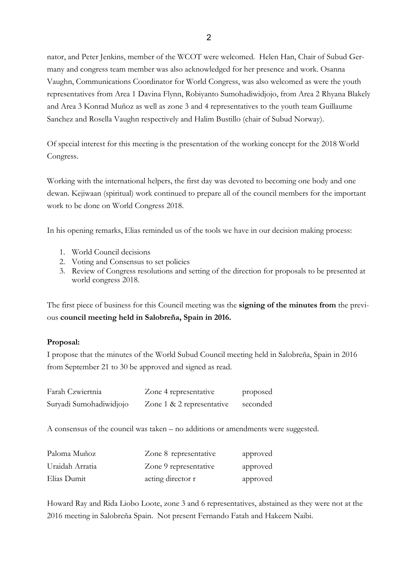nator, and Peter Jenkins, member of the WCOT were welcomed. Helen Han, Chair of Subud Germany and congress team member was also acknowledged for her presence and work. Osanna Vaughn, Communications Coordinator for World Congress, was also welcomed as were the youth representatives from Area 1 Davina Flynn, Robiyanto Sumohadiwidjojo, from Area 2 Rhyana Blakely and Area 3 Konrad Muñoz as well as zone 3 and 4 representatives to the youth team Guillaume Sanchez and Rosella Vaughn respectively and Halim Bustillo (chair of Subud Norway).

Of special interest for this meeting is the presentation of the working concept for the 2018 World Congress.

Working with the international helpers, the first day was devoted to becoming one body and one dewan. Kejiwaan (spiritual) work continued to prepare all of the council members for the important work to be done on World Congress 2018.

In his opening remarks, Elias reminded us of the tools we have in our decision making process:

- 1. World Council decisions
- 2. Voting and Consensus to set policies
- 3. Review of Congress resolutions and setting of the direction for proposals to be presented at world congress 2018.

The first piece of business for this Council meeting was the **signing of the minutes from** the previous **council meeting held in Salobreña, Spain in 2016.**

#### **Proposal:**

I propose that the minutes of the World Subud Council meeting held in Salobreña, Spain in 2016 from September 21 to 30 be approved and signed as read.

| Farah Czwiertnia        | Zone 4 representative     | proposed |
|-------------------------|---------------------------|----------|
| Suryadi Sumohadiwidjojo | Zone 1 & 2 representative | seconded |

A consensus of the council was taken – no additions or amendments were suggested.

| Paloma Muñoz    | Zone 8 representative | approved |
|-----------------|-----------------------|----------|
| Uraidah Arratia | Zone 9 representative | approved |
| Elias Dumit     | acting director r     | approved |

Howard Ray and Rida Liobo Loote, zone 3 and 6 representatives, abstained as they were not at the 2016 meeting in Salobreña Spain. Not present Fernando Fatah and Hakeem Naibi.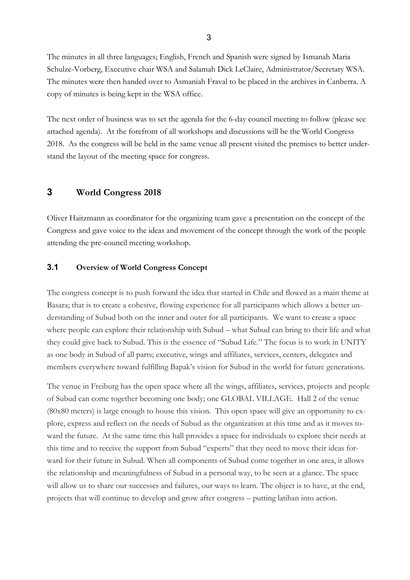The minutes in all three languages; English, French and Spanish were signed by Ismanah Maria Schulze-Vorberg, Executive chair WSA and Salamah Dick LeClaire, Administrator/Secretary WSA. The minutes were then handed over to Asmaniah Fraval to be placed in the archives in Canberra. A copy of minutes is being kept in the WSA office.

The next order of business was to set the agenda for the 6-day council meeting to follow (please see attached agenda). At the forefront of all workshops and discussions will be the World Congress 2018. As the congress will be held in the same venue all present visited the premises to better understand the layout of the meeting space for congress.

# **3 World Congress 2018**

Oliver Haitzmann as coordinator for the organizing team gave a presentation on the concept of the Congress and gave voice to the ideas and movement of the concept through the work of the people attending the pre-council meeting workshop.

#### **3.1 Overview of World Congress Concept**

The congress concept is to push forward the idea that started in Chile and flowed as a main theme at Basara; that is to create a cohesive, flowing experience for all participants which allows a better understanding of Subud both on the inner and outer for all participants. We want to create a space where people can explore their relationship with Subud – what Subud can bring to their life and what they could give back to Subud. This is the essence of "Subud Life." The focus is to work in UNITY as one body in Subud of all parts; executive, wings and affiliates, services, centers, delegates and members everywhere toward fulfilling Bapak's vision for Subud in the world for future generations.

The venue in Freiburg has the open space where all the wings, affiliates, services, projects and people of Subud can come together becoming one body; one GLOBAL VILLAGE. Hall 2 of the venue (80x80 meters) is large enough to house this vision. This open space will give an opportunity to explore, express and reflect on the needs of Subud as the organization at this time and as it moves toward the future. At the same time this hall provides a space for individuals to explore their needs at this time and to receive the support from Subud "experts" that they need to move their ideas forward for their future in Subud. When all components of Subud come together in one area, it allows the relationship and meaningfulness of Subud in a personal way, to be seen at a glance. The space will allow us to share our successes and failures, our ways to learn. The object is to have, at the end, projects that will continue to develop and grow after congress – putting latihan into action.

3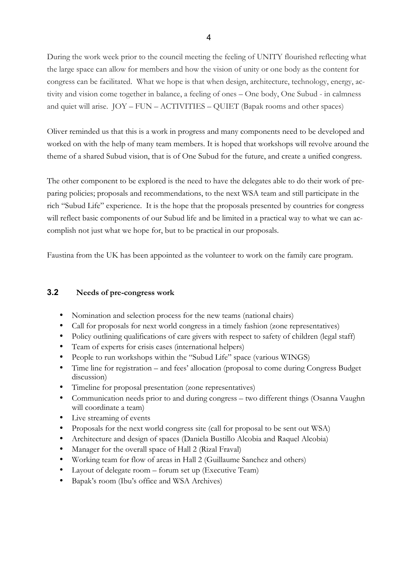During the work week prior to the council meeting the feeling of UNITY flourished reflecting what the large space can allow for members and how the vision of unity or one body as the content for congress can be facilitated. What we hope is that when design, architecture, technology, energy, activity and vision come together in balance, a feeling of ones – One body, One Subud - in calmness and quiet will arise. JOY – FUN – ACTIVITIES – QUIET (Bapak rooms and other spaces)

Oliver reminded us that this is a work in progress and many components need to be developed and worked on with the help of many team members. It is hoped that workshops will revolve around the theme of a shared Subud vision, that is of One Subud for the future, and create a unified congress.

The other component to be explored is the need to have the delegates able to do their work of preparing policies; proposals and recommendations, to the next WSA team and still participate in the rich "Subud Life" experience. It is the hope that the proposals presented by countries for congress will reflect basic components of our Subud life and be limited in a practical way to what we can accomplish not just what we hope for, but to be practical in our proposals.

Faustina from the UK has been appointed as the volunteer to work on the family care program.

### **3.2 Needs of pre-congress work**

- Nomination and selection process for the new teams (national chairs)
- Call for proposals for next world congress in a timely fashion (zone representatives)
- Policy outlining qualifications of care givers with respect to safety of children (legal staff)
- Team of experts for crisis cases (international helpers)
- People to run workshops within the "Subud Life" space (various WINGS)
- Time line for registration and fees' allocation (proposal to come during Congress Budget discussion)
- Timeline for proposal presentation (zone representatives)
- Communication needs prior to and during congress two different things (Osanna Vaughn will coordinate a team)
- Live streaming of events
- Proposals for the next world congress site (call for proposal to be sent out WSA)
- Architecture and design of spaces (Daniela Bustillo Alcobia and Raquel Alcobia)
- Manager for the overall space of Hall 2 (Rizal Fraval)
- Working team for flow of areas in Hall 2 (Guillaume Sanchez and others)
- Layout of delegate room forum set up (Executive Team)
- Bapak's room (Ibu's office and WSA Archives)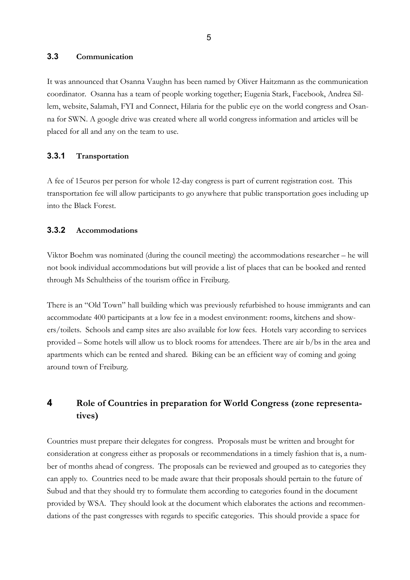#### **3.3 Communication**

It was announced that Osanna Vaughn has been named by Oliver Haitzmann as the communication coordinator. Osanna has a team of people working together; Eugenia Stark, Facebook, Andrea Sillem, website, Salamah, FYI and Connect, Hilaria for the public eye on the world congress and Osanna for SWN. A google drive was created where all world congress information and articles will be placed for all and any on the team to use.

#### **3.3.1 Transportation**

A fee of 15euros per person for whole 12-day congress is part of current registration cost. This transportation fee will allow participants to go anywhere that public transportation goes including up into the Black Forest.

### **3.3.2 Accommodations**

Viktor Boehm was nominated (during the council meeting) the accommodations researcher – he will not book individual accommodations but will provide a list of places that can be booked and rented through Ms Schultheiss of the tourism office in Freiburg.

There is an "Old Town" hall building which was previously refurbished to house immigrants and can accommodate 400 participants at a low fee in a modest environment: rooms, kitchens and showers/toilets. Schools and camp sites are also available for low fees. Hotels vary according to services provided – Some hotels will allow us to block rooms for attendees. There are air b/bs in the area and apartments which can be rented and shared. Biking can be an efficient way of coming and going around town of Freiburg.

# **4 Role of Countries in preparation for World Congress (zone representatives)**

Countries must prepare their delegates for congress. Proposals must be written and brought for consideration at congress either as proposals or recommendations in a timely fashion that is, a number of months ahead of congress. The proposals can be reviewed and grouped as to categories they can apply to. Countries need to be made aware that their proposals should pertain to the future of Subud and that they should try to formulate them according to categories found in the document provided by WSA. They should look at the document which elaborates the actions and recommendations of the past congresses with regards to specific categories. This should provide a space for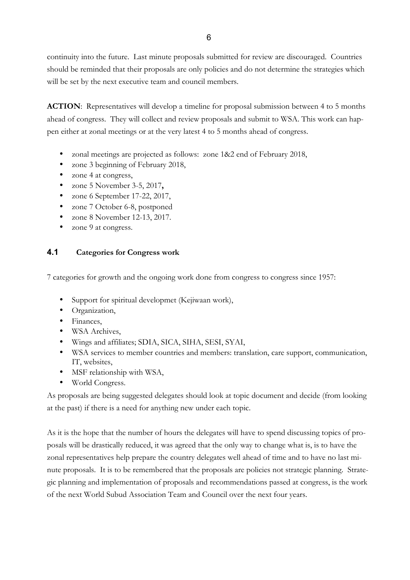continuity into the future. Last minute proposals submitted for review are discouraged. Countries should be reminded that their proposals are only policies and do not determine the strategies which will be set by the next executive team and council members.

**ACTION**: Representatives will develop a timeline for proposal submission between 4 to 5 months ahead of congress. They will collect and review proposals and submit to WSA. This work can happen either at zonal meetings or at the very latest 4 to 5 months ahead of congress.

- zonal meetings are projected as follows: zone 1&2 end of February 2018,
- zone 3 beginning of February 2018,
- zone 4 at congress,
- zone 5 November 3-5, 2017**,**
- zone 6 September 17-22, 2017,
- zone 7 October 6-8, postponed
- zone 8 November 12-13, 2017.
- zone 9 at congress.

# **4.1 Categories for Congress work**

7 categories for growth and the ongoing work done from congress to congress since 1957:

- Support for spiritual developmet (Kejiwaan work),
- Organization,
- Finances,
- WSA Archives,
- Wings and affiliates; SDIA, SICA, SIHA, SESI, SYAI,
- WSA services to member countries and members: translation, care support, communication, IT, websites,
- MSF relationship with WSA,
- World Congress.

As proposals are being suggested delegates should look at topic document and decide (from looking at the past) if there is a need for anything new under each topic.

As it is the hope that the number of hours the delegates will have to spend discussing topics of proposals will be drastically reduced, it was agreed that the only way to change what is, is to have the zonal representatives help prepare the country delegates well ahead of time and to have no last minute proposals. It is to be remembered that the proposals are policies not strategic planning. Strategic planning and implementation of proposals and recommendations passed at congress, is the work of the next World Subud Association Team and Council over the next four years.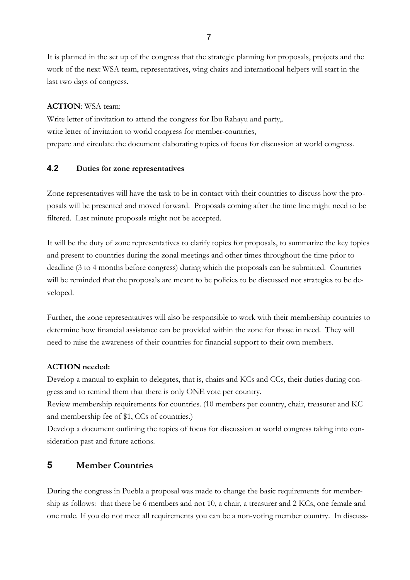It is planned in the set up of the congress that the strategic planning for proposals, projects and the work of the next WSA team, representatives, wing chairs and international helpers will start in the last two days of congress.

#### **ACTION**: WSA team:

Write letter of invitation to attend the congress for Ibu Rahayu and party,. write letter of invitation to world congress for member-countries, prepare and circulate the document elaborating topics of focus for discussion at world congress.

### **4.2 Duties for zone representatives**

Zone representatives will have the task to be in contact with their countries to discuss how the proposals will be presented and moved forward. Proposals coming after the time line might need to be filtered. Last minute proposals might not be accepted.

It will be the duty of zone representatives to clarify topics for proposals, to summarize the key topics and present to countries during the zonal meetings and other times throughout the time prior to deadline (3 to 4 months before congress) during which the proposals can be submitted. Countries will be reminded that the proposals are meant to be policies to be discussed not strategies to be developed.

Further, the zone representatives will also be responsible to work with their membership countries to determine how financial assistance can be provided within the zone for those in need. They will need to raise the awareness of their countries for financial support to their own members.

### **ACTION needed:**

Develop a manual to explain to delegates, that is, chairs and KCs and CCs, their duties during congress and to remind them that there is only ONE vote per country.

Review membership requirements for countries. (10 members per country, chair, treasurer and KC and membership fee of \$1, CCs of countries.)

Develop a document outlining the topics of focus for discussion at world congress taking into consideration past and future actions.

# **5 Member Countries**

During the congress in Puebla a proposal was made to change the basic requirements for membership as follows: that there be 6 members and not 10, a chair, a treasurer and 2 KCs, one female and one male. If you do not meet all requirements you can be a non-voting member country. In discuss-

7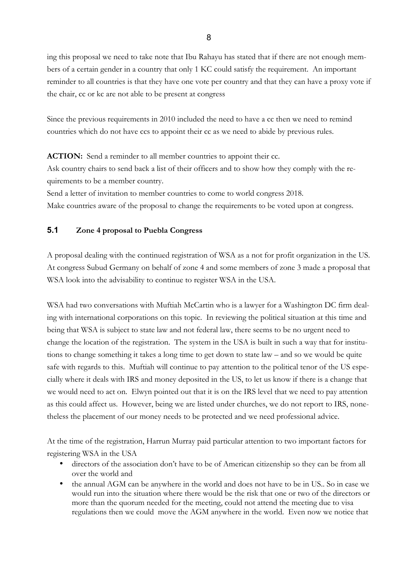ing this proposal we need to take note that Ibu Rahayu has stated that if there are not enough members of a certain gender in a country that only 1 KC could satisfy the requirement. An important reminder to all countries is that they have one vote per country and that they can have a proxy vote if the chair, cc or kc are not able to be present at congress

Since the previous requirements in 2010 included the need to have a cc then we need to remind countries which do not have ccs to appoint their cc as we need to abide by previous rules.

**ACTION:** Send a reminder to all member countries to appoint their cc.

Ask country chairs to send back a list of their officers and to show how they comply with the requirements to be a member country.

Send a letter of invitation to member countries to come to world congress 2018.

Make countries aware of the proposal to change the requirements to be voted upon at congress.

#### **5.1 Zone 4 proposal to Puebla Congress**

A proposal dealing with the continued registration of WSA as a not for profit organization in the US. At congress Subud Germany on behalf of zone 4 and some members of zone 3 made a proposal that WSA look into the advisability to continue to register WSA in the USA.

WSA had two conversations with Muftiah McCartin who is a lawyer for a Washington DC firm dealing with international corporations on this topic. In reviewing the political situation at this time and being that WSA is subject to state law and not federal law, there seems to be no urgent need to change the location of the registration. The system in the USA is built in such a way that for institutions to change something it takes a long time to get down to state law – and so we would be quite safe with regards to this. Muftiah will continue to pay attention to the political tenor of the US especially where it deals with IRS and money deposited in the US, to let us know if there is a change that we would need to act on. Elwyn pointed out that it is on the IRS level that we need to pay attention as this could affect us. However, being we are listed under churches, we do not report to IRS, nonetheless the placement of our money needs to be protected and we need professional advice.

At the time of the registration, Harrun Murray paid particular attention to two important factors for registering WSA in the USA

- directors of the association don't have to be of American citizenship so they can be from all over the world and
- the annual AGM can be anywhere in the world and does not have to be in US.. So in case we would run into the situation where there would be the risk that one or two of the directors or more than the quorum needed for the meeting, could not attend the meeting due to visa regulations then we could move the AGM anywhere in the world. Even now we notice that

8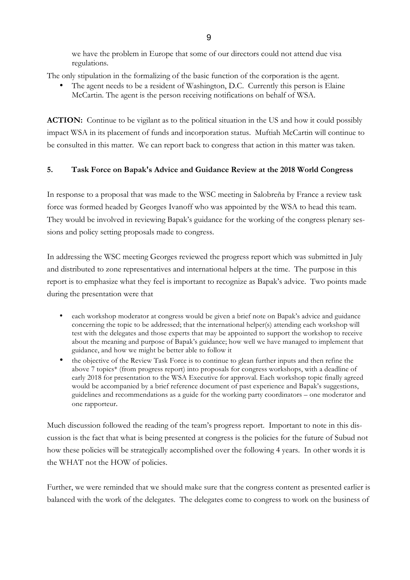we have the problem in Europe that some of our directors could not attend due visa regulations.

The only stipulation in the formalizing of the basic function of the corporation is the agent.

The agent needs to be a resident of Washington, D.C. Currently this person is Elaine McCartin. The agent is the person receiving notifications on behalf of WSA.

**ACTION:** Continue to be vigilant as to the political situation in the US and how it could possibly impact WSA in its placement of funds and incorporation status. Muftiah McCartin will continue to be consulted in this matter. We can report back to congress that action in this matter was taken.

### **5. Task Force on Bapak's Advice and Guidance Review at the 2018 World Congress**

In response to a proposal that was made to the WSC meeting in Salobreña by France a review task force was formed headed by Georges Ivanoff who was appointed by the WSA to head this team. They would be involved in reviewing Bapak's guidance for the working of the congress plenary sessions and policy setting proposals made to congress.

In addressing the WSC meeting Georges reviewed the progress report which was submitted in July and distributed to zone representatives and international helpers at the time. The purpose in this report is to emphasize what they feel is important to recognize as Bapak's advice. Two points made during the presentation were that

- each workshop moderator at congress would be given a brief note on Bapak's advice and guidance concerning the topic to be addressed; that the international helper(s) attending each workshop will test with the delegates and those experts that may be appointed to support the workshop to receive about the meaning and purpose of Bapak's guidance; how well we have managed to implement that guidance, and how we might be better able to follow it
- the objective of the Review Task Force is to continue to glean further inputs and then refine the above 7 topics\* (from progress report) into proposals for congress workshops, with a deadline of early 2018 for presentation to the WSA Executive for approval. Each workshop topic finally agreed would be accompanied by a brief reference document of past experience and Bapak's suggestions, guidelines and recommendations as a guide for the working party coordinators – one moderator and one rapporteur.

Much discussion followed the reading of the team's progress report. Important to note in this discussion is the fact that what is being presented at congress is the policies for the future of Subud not how these policies will be strategically accomplished over the following 4 years. In other words it is the WHAT not the HOW of policies.

Further, we were reminded that we should make sure that the congress content as presented earlier is balanced with the work of the delegates. The delegates come to congress to work on the business of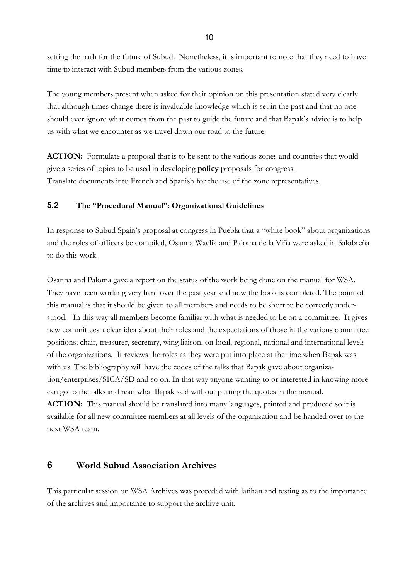setting the path for the future of Subud. Nonetheless, it is important to note that they need to have time to interact with Subud members from the various zones.

The young members present when asked for their opinion on this presentation stated very clearly that although times change there is invaluable knowledge which is set in the past and that no one should ever ignore what comes from the past to guide the future and that Bapak's advice is to help us with what we encounter as we travel down our road to the future.

ACTION: Formulate a proposal that is to be sent to the various zones and countries that would give a series of topics to be used in developing **policy** proposals for congress. Translate documents into French and Spanish for the use of the zone representatives.

### **5.2 The "Procedural Manual": Organizational Guidelines**

In response to Subud Spain's proposal at congress in Puebla that a "white book" about organizations and the roles of officers be compiled, Osanna Waclik and Paloma de la Viña were asked in Salobreña to do this work.

Osanna and Paloma gave a report on the status of the work being done on the manual for WSA. They have been working very hard over the past year and now the book is completed. The point of this manual is that it should be given to all members and needs to be short to be correctly understood. In this way all members become familiar with what is needed to be on a committee. It gives new committees a clear idea about their roles and the expectations of those in the various committee positions; chair, treasurer, secretary, wing liaison, on local, regional, national and international levels of the organizations. It reviews the roles as they were put into place at the time when Bapak was with us. The bibliography will have the codes of the talks that Bapak gave about organization/enterprises/SICA/SD and so on. In that way anyone wanting to or interested in knowing more can go to the talks and read what Bapak said without putting the quotes in the manual. **ACTION:** This manual should be translated into many languages, printed and produced so it is available for all new committee members at all levels of the organization and be handed over to the next WSA team.

# **6 World Subud Association Archives**

This particular session on WSA Archives was preceded with latihan and testing as to the importance of the archives and importance to support the archive unit.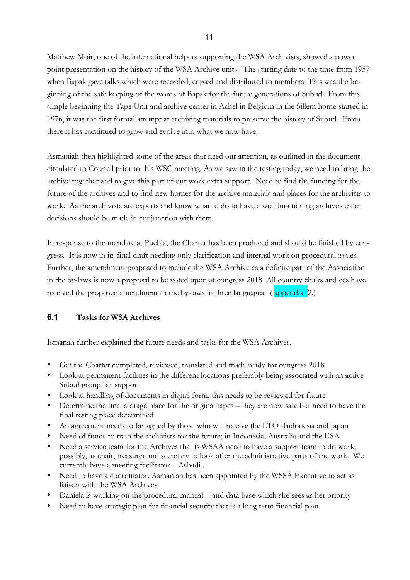Matthew Moir, one of the international helpers supporting the WSA Archivists, showed a power point presentation on the history of the WSA Archive units. The starting date to the time from 1957 when Bapak gave talks which were recorded, copied and distributed to members. This was the beginning of the safe keeping of the words of Bapak for the future generations of Subud. From this simple beginning the Tape Unit and archive center in Achel in Belgium in the Sillem home started in 1976, it was the first formal attempt at archiving materials to preserve the history of Subud. From there it has continued to grow and evolve into what we now have.

Asmaniah then highlighted some of the areas that need our attention, as outlined in the document circulated to Council prior to this WSC meeting. As we saw in the testing today, we need to bring the archive together and to give this part of our work extra support. Need to find the funding for the future of the archives and to find new homes for the archive materials and places for the archivists to work. As the archivists are experts and know what to do to have a well functioning archive center decisions should be made in conjunction with them.

In response to the mandate at Puebla, the Charter has been produced and should be finished by congress. It is now in its final draft needing only clarification and internal work on procedural issues. Further, the amendment proposed to include the WSA Archive as a definite part of the Association in the by-laws is now a proposal to be voted upon at congress 2018 All country chairs and ccs have received the proposed amendment to the by-laws in three languages. ( appendix 2.)

### **6.1 Tasks for WSA Archives**

Ismanah further explained the future needs and tasks for the WSA Archives.

- Get the Charter completed, reviewed, translated and made ready for congress 2018
- Look at permanent facilities in the different locations preferably being associated with an active Subud group for support
- Look at handling of documents in digital form, this needs to be reviewed for future
- Determine the final storage place for the original tapes they are now safe but need to have the final resting place determined
- An agreement needs to be signed by those who will receive the LTO -Indonesia and Japan
- Need of funds to train the archivists for the future; in Indonesia, Australia and the USA
- Need a service team for the Archives that is WSAA need to have a support team to do work, possibly, as chair, treasurer and secretary to look after the administrative parts of the work. We currently have a meeting facilitator – Ashadi .
- Need to have a coordinator. Asmaniah has been appointed by the WSSA Executive to act as liaison with the WSA Archives.
- Daniela is working on the procedural manual and data base which she sees as her priority
- Need to have strategic plan for financial security that is a long term financial plan.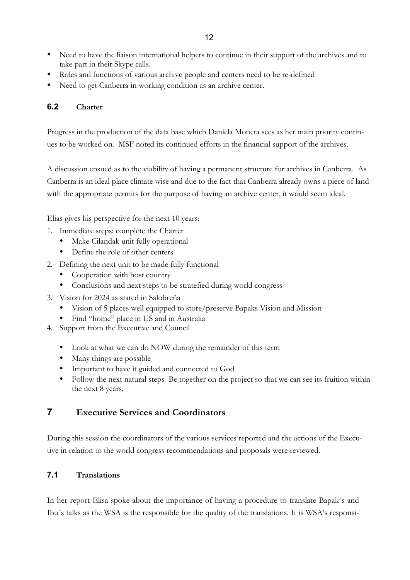- Need to have the liaison international helpers to continue in their support of the archives and to take part in their Skype calls.
- Roles and functions of various archive people and centers need to be re-defined
- Need to get Canberra in working condition as an archive center.

#### **6.2 Charter**

Progress in the production of the data base which Daniela Moneta sees as her main priority continues to be worked on. MSF noted its continued efforts in the financial support of the archives.

A discussion ensued as to the viability of having a permanent structure for archives in Canberra. As Canberra is an ideal place climate wise and due to the fact that Canberra already owns a piece of land with the appropriate permits for the purpose of having an archive center, it would seem ideal.

Elias gives his perspective for the next 10 years:

- 1. Immediate steps: complete the Charter
	- Make Cilandak unit fully operational
	- Define the role of other centers
- 2. Defining the next unit to be made fully functional
	- Cooperation with host country
	- Conclusions and next steps to be stratefied during world congress
- 3. Vision for 2024 as stated in Salobreña
	- Vision of 5 places well equipped to store/preserve Bapaks Vision and Mission
	- Find "home" place in US and in Australia
- 4. Support from the Executive and Council
	- Look at what we can do NOW during the remainder of this term
	- Many things are possible
	- Important to have it guided and connected to God
	- Follow the next natural steps Be together on the project so that we can see its fruition within the next 8 years.

# **7 Executive Services and Coordinators**

During this session the coordinators of the various services reported and the actions of the Executive in relation to the world congress recommendations and proposals were reviewed.

### **7.1 Translations**

In her report Elisa spoke about the importance of having a procedure to translate Bapak´s and Ibu´s talks as the WSA is the responsible for the quality of the translations. It is WSA's responsi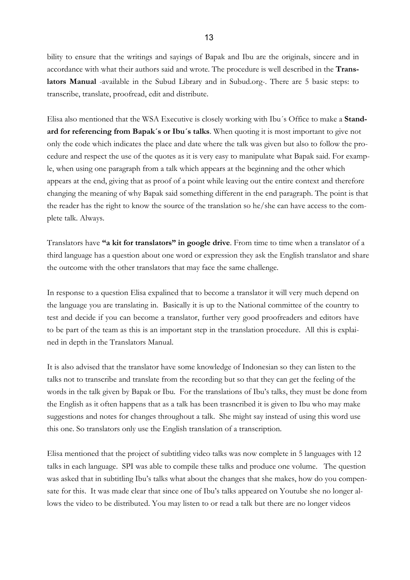bility to ensure that the writings and sayings of Bapak and Ibu are the originals, sincere and in accordance with what their authors said and wrote. The procedure is well described in the **Translators Manual** -available in the Subud Library and in Subud.org-. There are 5 basic steps: to transcribe, translate, proofread, edit and distribute.

Elisa also mentioned that the WSA Executive is closely working with Ibu´s Office to make a **Standard for referencing from Bapak´s or Ibu´s talks**. When quoting it is most important to give not only the code which indicates the place and date where the talk was given but also to follow the procedure and respect the use of the quotes as it is very easy to manipulate what Bapak said. For example, when using one paragraph from a talk which appears at the beginning and the other which appears at the end, giving that as proof of a point while leaving out the entire context and therefore changing the meaning of why Bapak said something different in the end paragraph. The point is that the reader has the right to know the source of the translation so he/she can have access to the complete talk. Always.

Translators have **"a kit for translators" in google drive**. From time to time when a translator of a third language has a question about one word or expression they ask the English translator and share the outcome with the other translators that may face the same challenge.

In response to a question Elisa expalined that to become a translator it will very much depend on the language you are translating in. Basically it is up to the National committee of the country to test and decide if you can become a translator, further very good proofreaders and editors have to be part of the team as this is an important step in the translation procedure. All this is explained in depth in the Translators Manual.

It is also advised that the translator have some knowledge of Indonesian so they can listen to the talks not to transcribe and translate from the recording but so that they can get the feeling of the words in the talk given by Bapak or Ibu. For the translations of Ibu's talks, they must be done from the English as it often happens that as a talk has been trasncribed it is given to Ibu who may make suggestions and notes for changes throughout a talk. She might say instead of using this word use this one. So translators only use the English translation of a transcription.

Elisa mentioned that the project of subtitling video talks was now complete in 5 languages with 12 talks in each language. SPI was able to compile these talks and produce one volume. The question was asked that in subtitling Ibu's talks what about the changes that she makes, how do you compensate for this. It was made clear that since one of Ibu's talks appeared on Youtube she no longer allows the video to be distributed. You may listen to or read a talk but there are no longer videos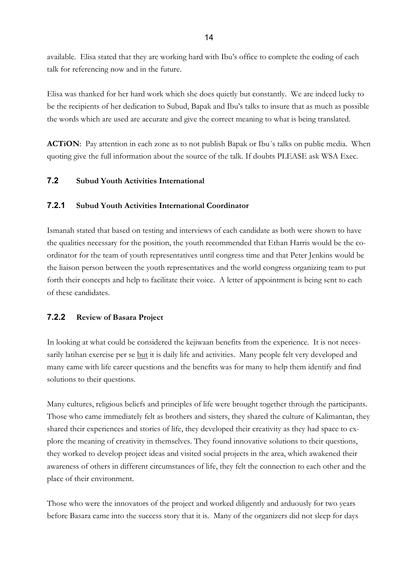available. Elisa stated that they are working hard with Ibu's office to complete the coding of each talk for referencing now and in the future.

Elisa was thanked for her hard work which she does quietly but constantly. We are indeed lucky to be the recipients of her dedication to Subud, Bapak and Ibu's talks to insure that as much as possible the words which are used are accurate and give the correct meaning to what is being translated.

**ACTiON**: Pay attention in each zone as to not publish Bapak or Ibu´s talks on public media. When quoting give the full information about the source of the talk. If doubts PLEASE ask WSA Exec.

### **7.2 Subud Youth Activities International**

#### **7.2.1 Subud Youth Activities International Coordinator**

Ismanah stated that based on testing and interviews of each candidate as both were shown to have the qualities necessary for the position, the youth recommended that Ethan Harris would be the coordinator for the team of youth representatives until congress time and that Peter Jenkins would be the liaison person between the youth representatives and the world congress organizing team to put forth their concepts and help to facilitate their voice. A letter of appointment is being sent to each of these candidates.

### **7.2.2 Review of Basara Project**

In looking at what could be considered the kejiwaan benefits from the experience. It is not necessarily latihan exercise per se but it is daily life and activities. Many people felt very developed and many came with life career questions and the benefits was for many to help them identify and find solutions to their questions.

Many cultures, religious beliefs and principles of life were brought together through the participants. Those who came immediately felt as brothers and sisters, they shared the culture of Kalimantan, they shared their experiences and stories of life, they developed their creativity as they had space to explore the meaning of creativity in themselves. They found innovative solutions to their questions, they worked to develop project ideas and visited social projects in the area, which awakened their awareness of others in different circumstances of life, they felt the connection to each other and the place of their environment.

Those who were the innovators of the project and worked diligently and arduously for two years before Basara came into the success story that it is. Many of the organizers did not sleep for days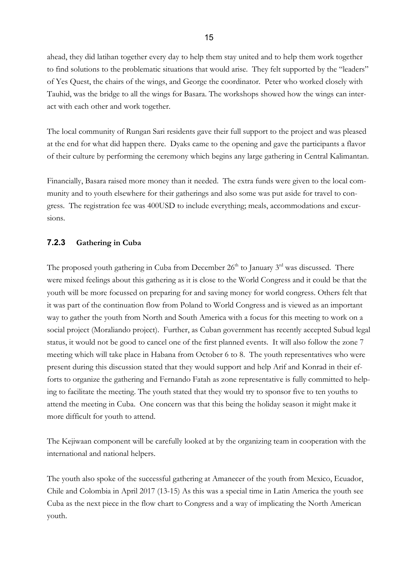ahead, they did latihan together every day to help them stay united and to help them work together to find solutions to the problematic situations that would arise. They felt supported by the "leaders" of Yes Quest, the chairs of the wings, and George the coordinator. Peter who worked closely with Tauhid, was the bridge to all the wings for Basara. The workshops showed how the wings can interact with each other and work together.

The local community of Rungan Sari residents gave their full support to the project and was pleased at the end for what did happen there. Dyaks came to the opening and gave the participants a flavor of their culture by performing the ceremony which begins any large gathering in Central Kalimantan.

Financially, Basara raised more money than it needed. The extra funds were given to the local community and to youth elsewhere for their gatherings and also some was put aside for travel to congress. The registration fee was 400USD to include everything; meals, accommodations and excursions.

#### **7.2.3 Gathering in Cuba**

The proposed youth gathering in Cuba from December  $26<sup>th</sup>$  to January  $3<sup>rd</sup>$  was discussed. There were mixed feelings about this gathering as it is close to the World Congress and it could be that the youth will be more focussed on preparing for and saving money for world congress. Others felt that it was part of the continuation flow from Poland to World Congress and is viewed as an important way to gather the youth from North and South America with a focus for this meeting to work on a social project (Moraliando project). Further, as Cuban government has recently accepted Subud legal status, it would not be good to cancel one of the first planned events. It will also follow the zone 7 meeting which will take place in Habana from October 6 to 8. The youth representatives who were present during this discussion stated that they would support and help Arif and Konrad in their efforts to organize the gathering and Fernando Fatah as zone representative is fully committed to helping to facilitate the meeting. The youth stated that they would try to sponsor five to ten youths to attend the meeting in Cuba. One concern was that this being the holiday season it might make it more difficult for youth to attend.

The Kejiwaan component will be carefully looked at by the organizing team in cooperation with the international and national helpers.

The youth also spoke of the successful gathering at Amanecer of the youth from Mexico, Ecuador, Chile and Colombia in April 2017 (13-15) As this was a special time in Latin America the youth see Cuba as the next piece in the flow chart to Congress and a way of implicating the North American youth.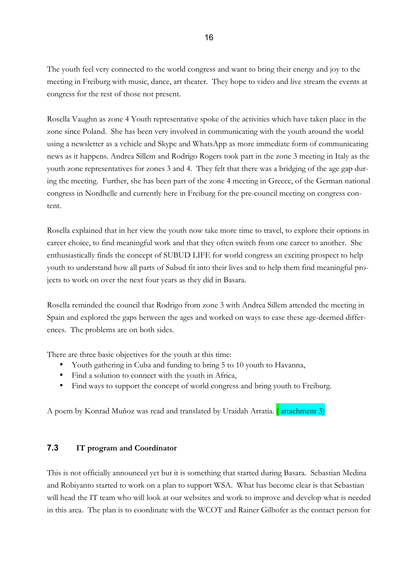The youth feel very connected to the world congress and want to bring their energy and joy to the meeting in Freiburg with music, dance, art theater. They hope to video and live stream the events at congress for the rest of those not present.

Rosella Vaughn as zone 4 Youth representative spoke of the activities which have taken place in the zone since Poland. She has been very involved in communicating with the youth around the world using a newsletter as a vehicle and Skype and WhatsApp as more immediate form of communicating news as it happens. Andrea Sillem and Rodrigo Rogers took part in the zone 3 meeting in Italy as the youth zone representatives for zones 3 and 4. They felt that there was a bridging of the age gap during the meeting. Further, she has been part of the zone 4 meeting in Greece, of the German national congress in Nordhelle and currently here in Freiburg for the pre-council meeting on congress content.

Rosella explained that in her view the youth now take more time to travel, to explore their options in career choice, to find meaningful work and that they often switch from one career to another. She enthusiastically finds the concept of SUBUD LIFE for world congress an exciting prospect to help youth to understand how all parts of Subud fit into their lives and to help them find meaningful projects to work on over the next four years as they did in Basara.

Rosella reminded the council that Rodrigo from zone 3 with Andrea Sillem attended the meeting in Spain and explored the gaps between the ages and worked on ways to ease these age-deemed differences. The problems are on both sides.

There are three basic objectives for the youth at this time:

- Youth gathering in Cuba and funding to bring 5 to 10 youth to Havanna,
- Find a solution to connect with the youth in Africa,
- Find ways to support the concept of world congress and bring youth to Freiburg.

A poem by Konrad Muñoz was read and translated by Uraidah Arratia. ( attachment 3)

### **7.3 IT program and Coordinator**

This is not officially announced yet but it is something that started during Basara. Sebastian Medina and Robiyanto started to work on a plan to support WSA. What has become clear is that Sebastian will head the IT team who will look at our websites and work to improve and develop what is needed in this area. The plan is to coordinate with the WCOT and Rainer Gilhofer as the contact person for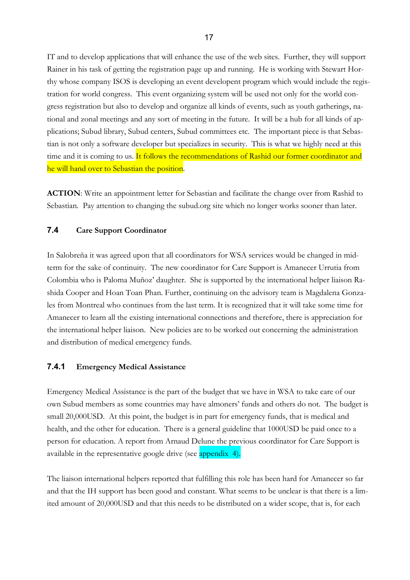IT and to develop applications that will enhance the use of the web sites. Further, they will support Rainer in his task of getting the registration page up and running. He is working with Stewart Horthy whose company ISOS is developing an event developent program which would include the registration for world congress. This event organizing system will be used not only for the world congress registration but also to develop and organize all kinds of events, such as youth gatherings, national and zonal meetings and any sort of meeting in the future. It will be a hub for all kinds of applications; Subud library, Subud centers, Subud committees etc. The important piece is that Sebastian is not only a software developer but specializes in security. This is what we highly need at this time and it is coming to us. It follows the recommendations of Rashid our former coordinator and he will hand over to Sebastian the position.

**ACTION**: Write an appointment letter for Sebastian and facilitate the change over from Rashid to Sebastian. Pay attention to changing the subud.org site which no longer works sooner than later.

#### **7.4 Care Support Coordinator**

In Salobreña it was agreed upon that all coordinators for WSA services would be changed in midterm for the sake of continuity. The new coordinator for Care Support is Amanecer Urrutia from Colombia who is Paloma Muñoz' daughter. She is supported by the international helper liaison Rashida Cooper and Hoan Toan Phan. Further, continuing on the advisory team is Magdalena Gonzales from Montreal who continues from the last term. It is recognized that it will take some time for Amanecer to learn all the existing international connections and therefore, there is appreciation for the international helper liaison. New policies are to be worked out concerning the administration and distribution of medical emergency funds.

#### **7.4.1 Emergency Medical Assistance**

Emergency Medical Assistance is the part of the budget that we have in WSA to take care of our own Subud members as some countries may have almoners' funds and others do not. The budget is small 20,000USD. At this point, the budget is in part for emergency funds, that is medical and health, and the other for education. There is a general guideline that 1000USD be paid once to a person for education. A report from Arnaud Delune the previous coordinator for Care Support is available in the representative google drive (see appendix 4).

The liaison international helpers reported that fulfilling this role has been hard for Amanecer so far and that the IH support has been good and constant. What seems to be unclear is that there is a limited amount of 20,000USD and that this needs to be distributed on a wider scope, that is, for each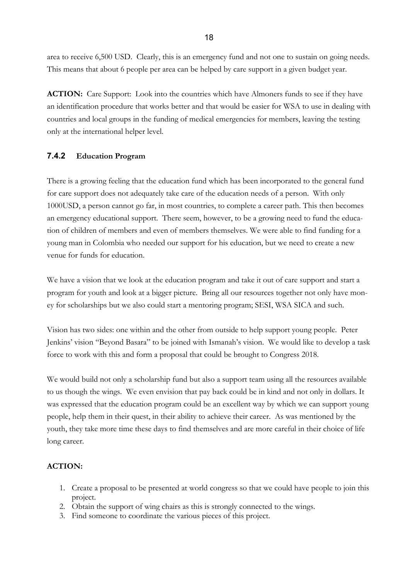area to receive 6,500 USD. Clearly, this is an emergency fund and not one to sustain on going needs. This means that about 6 people per area can be helped by care support in a given budget year.

**ACTION:** Care Support: Look into the countries which have Almoners funds to see if they have an identification procedure that works better and that would be easier for WSA to use in dealing with countries and local groups in the funding of medical emergencies for members, leaving the testing only at the international helper level.

### **7.4.2 Education Program**

There is a growing feeling that the education fund which has been incorporated to the general fund for care support does not adequately take care of the education needs of a person. With only 1000USD, a person cannot go far, in most countries, to complete a career path. This then becomes an emergency educational support. There seem, however, to be a growing need to fund the education of children of members and even of members themselves. We were able to find funding for a young man in Colombia who needed our support for his education, but we need to create a new venue for funds for education.

We have a vision that we look at the education program and take it out of care support and start a program for youth and look at a bigger picture. Bring all our resources together not only have money for scholarships but we also could start a mentoring program; SESI, WSA SICA and such.

Vision has two sides: one within and the other from outside to help support young people. Peter Jenkins' vision "Beyond Basara" to be joined with Ismanah's vision. We would like to develop a task force to work with this and form a proposal that could be brought to Congress 2018.

We would build not only a scholarship fund but also a support team using all the resources available to us though the wings. We even envision that pay back could be in kind and not only in dollars. It was expressed that the education program could be an excellent way by which we can support young people, help them in their quest, in their ability to achieve their career. As was mentioned by the youth, they take more time these days to find themselves and are more careful in their choice of life long career.

# **ACTION:**

- 1. Create a proposal to be presented at world congress so that we could have people to join this project.
- 2. Obtain the support of wing chairs as this is strongly connected to the wings.
- 3. Find someone to coordinate the various pieces of this project.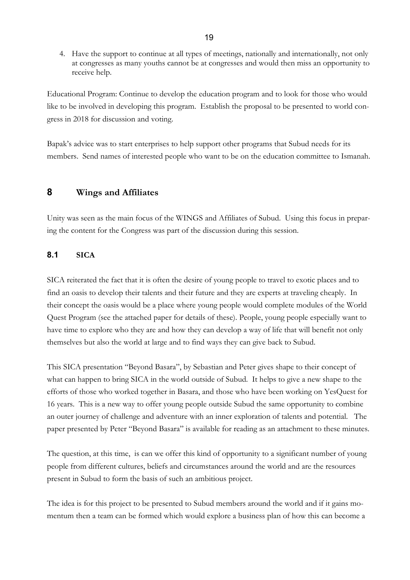4. Have the support to continue at all types of meetings, nationally and internationally, not only at congresses as many youths cannot be at congresses and would then miss an opportunity to receive help.

Educational Program: Continue to develop the education program and to look for those who would like to be involved in developing this program. Establish the proposal to be presented to world congress in 2018 for discussion and voting.

Bapak's advice was to start enterprises to help support other programs that Subud needs for its members. Send names of interested people who want to be on the education committee to Ismanah.

# **8 Wings and Affiliates**

Unity was seen as the main focus of the WINGS and Affiliates of Subud. Using this focus in preparing the content for the Congress was part of the discussion during this session.

## **8.1 SICA**

SICA reiterated the fact that it is often the desire of young people to travel to exotic places and to find an oasis to develop their talents and their future and they are experts at traveling cheaply. In their concept the oasis would be a place where young people would complete modules of the World Quest Program (see the attached paper for details of these). People, young people especially want to have time to explore who they are and how they can develop a way of life that will benefit not only themselves but also the world at large and to find ways they can give back to Subud.

This SICA presentation "Beyond Basara", by Sebastian and Peter gives shape to their concept of what can happen to bring SICA in the world outside of Subud. It helps to give a new shape to the efforts of those who worked together in Basara, and those who have been working on YesQuest for 16 years. This is a new way to offer young people outside Subud the same opportunity to combine an outer journey of challenge and adventure with an inner exploration of talents and potential. The paper presented by Peter "Beyond Basara" is available for reading as an attachment to these minutes.

The question, at this time, is can we offer this kind of opportunity to a significant number of young people from different cultures, beliefs and circumstances around the world and are the resources present in Subud to form the basis of such an ambitious project.

The idea is for this project to be presented to Subud members around the world and if it gains momentum then a team can be formed which would explore a business plan of how this can become a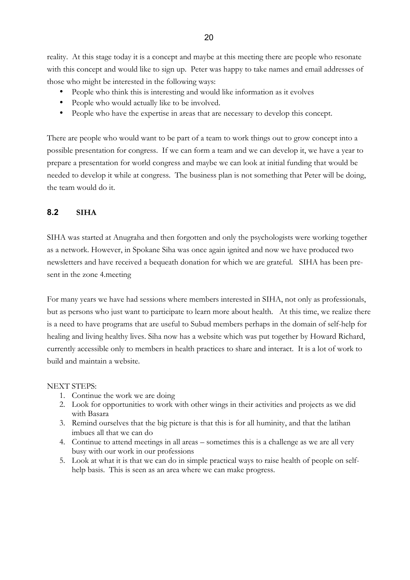reality. At this stage today it is a concept and maybe at this meeting there are people who resonate with this concept and would like to sign up. Peter was happy to take names and email addresses of those who might be interested in the following ways:

- People who think this is interesting and would like information as it evolves
- People who would actually like to be involved.
- People who have the expertise in areas that are necessary to develop this concept.

There are people who would want to be part of a team to work things out to grow concept into a possible presentation for congress. If we can form a team and we can develop it, we have a year to prepare a presentation for world congress and maybe we can look at initial funding that would be needed to develop it while at congress. The business plan is not something that Peter will be doing, the team would do it.

### **8.2 SIHA**

SIHA was started at Anugraha and then forgotten and only the psychologists were working together as a network. However, in Spokane Siha was once again ignited and now we have produced two newsletters and have received a bequeath donation for which we are grateful. SIHA has been present in the zone 4.meeting

For many years we have had sessions where members interested in SIHA, not only as professionals, but as persons who just want to participate to learn more about health. At this time, we realize there is a need to have programs that are useful to Subud members perhaps in the domain of self-help for healing and living healthy lives. Siha now has a website which was put together by Howard Richard, currently accessible only to members in health practices to share and interact. It is a lot of work to build and maintain a website.

#### NEXT STEPS:

- 1. Continue the work we are doing
- 2. Look for opportunities to work with other wings in their activities and projects as we did with Basara
- 3. Remind ourselves that the big picture is that this is for all huminity, and that the latihan imbues all that we can do
- 4. Continue to attend meetings in all areas sometimes this is a challenge as we are all very busy with our work in our professions
- 5. Look at what it is that we can do in simple practical ways to raise health of people on selfhelp basis. This is seen as an area where we can make progress.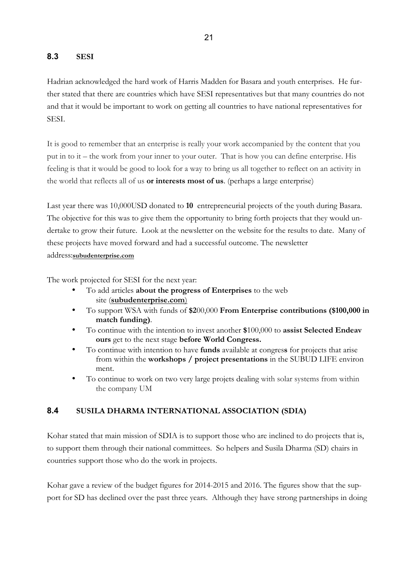### **8.3 SESI**

Hadrian acknowledged the hard work of Harris Madden for Basara and youth enterprises. He further stated that there are countries which have SESI representatives but that many countries do not and that it would be important to work on getting all countries to have national representatives for SESI.

It is good to remember that an enterprise is really your work accompanied by the content that you put in to it – the work from your inner to your outer. That is how you can define enterprise. His feeling is that it would be good to look for a way to bring us all together to reflect on an activity in the world that reflects all of us **or interests most of us**. (perhaps a large enterprise)

Last year there was 10,000USD donated to **10** entrepreneurial projects of the youth during Basara. The objective for this was to give them the opportunity to bring forth projects that they would undertake to grow their future. Look at the newsletter on the website for the results to date. Many of these projects have moved forward and had a successful outcome. The newsletter address:**subudenterprise.com**

The work projected for SESI for the next year:

- To add articles **about the progress of Enterprises** to the web site (**subudenterprise.com**)
- To support WSA with funds of **\$2**00,000 **From Enterprise contributions (\$100,000 in match funding)**.
- To continue with the intention to invest another **\$**100,000 to **assist Selected Endeav ours** get to the next stage **before World Congress.**
- To continue with intention to have **funds** available at congres**s** for projects that arise from within the **workshops / project presentations** in the SUBUD LIFE environ ment.
- To continue to work on two very large projets dealing with solar systems from within the company UM

### **8.4 SUSILA DHARMA INTERNATIONAL ASSOCIATION (SDIA)**

Kohar stated that main mission of SDIA is to support those who are inclined to do projects that is, to support them through their national committees. So helpers and Susila Dharma (SD) chairs in countries support those who do the work in projects.

Kohar gave a review of the budget figures for 2014-2015 and 2016. The figures show that the support for SD has declined over the past three years. Although they have strong partnerships in doing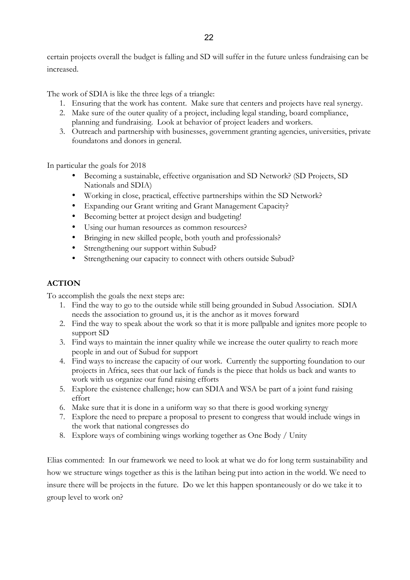certain projects overall the budget is falling and SD will suffer in the future unless fundraising can be increased.

The work of SDIA is like the three legs of a triangle:

- 1. Ensuring that the work has content. Make sure that centers and projects have real synergy.
- 2. Make sure of the outer quality of a project, including legal standing, board compliance, planning and fundraising. Look at behavior of project leaders and workers.
- 3. Outreach and partnership with businesses, government granting agencies, universities, private foundatons and donors in general.

In particular the goals for 2018

- Becoming a sustainable, effective organisation and SD Network? (SD Projects, SD Nationals and SDIA)
- Working in close, practical, effective partnerships within the SD Network?
- Expanding our Grant writing and Grant Management Capacity?
- Becoming better at project design and budgeting!
- Using our human resources as common resources?
- Bringing in new skilled people, both youth and professionals?
- Strengthening our support within Subud?
- Strengthening our capacity to connect with others outside Subud?

#### **ACTION**

To accomplish the goals the next steps are:

- 1. Find the way to go to the outside while still being grounded in Subud Association. SDIA needs the association to ground us, it is the anchor as it moves forward
- 2. Find the way to speak about the work so that it is more pallpable and ignites more people to support SD
- 3. Find ways to maintain the inner quality while we increase the outer qualirty to reach more people in and out of Subud for support
- 4. Find ways to increase the capacity of our work. Currently the supporting foundation to our projects in Africa, sees that our lack of funds is the piece that holds us back and wants to work with us organize our fund raising efforts
- 5. Explore the existence challenge; how can SDIA and WSA be part of a joint fund raising effort
- 6. Make sure that it is done in a uniform way so that there is good working synergy
- 7. Explore the need to prepare a proposal to present to congress that would include wings in the work that national congresses do
- 8. Explore ways of combining wings working together as One Body / Unity

Elias commented: In our framework we need to look at what we do for long term sustainability and how we structure wings together as this is the latihan being put into action in the world. We need to insure there will be projects in the future. Do we let this happen spontaneously or do we take it to group level to work on?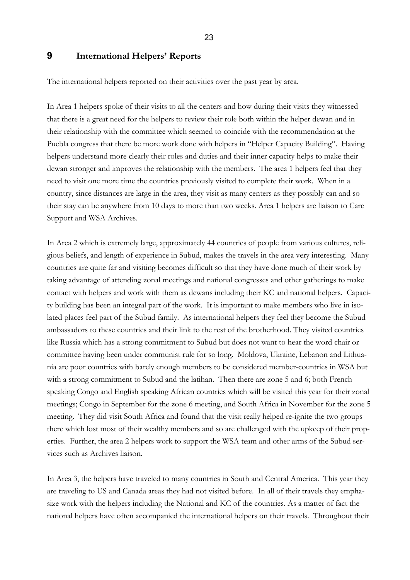23

# **9 International Helpers' Reports**

The international helpers reported on their activities over the past year by area.

In Area 1 helpers spoke of their visits to all the centers and how during their visits they witnessed that there is a great need for the helpers to review their role both within the helper dewan and in their relationship with the committee which seemed to coincide with the recommendation at the Puebla congress that there be more work done with helpers in "Helper Capacity Building". Having helpers understand more clearly their roles and duties and their inner capacity helps to make their dewan stronger and improves the relationship with the members. The area 1 helpers feel that they need to visit one more time the countries previously visited to complete their work. When in a country, since distances are large in the area, they visit as many centers as they possibly can and so their stay can be anywhere from 10 days to more than two weeks. Area 1 helpers are liaison to Care Support and WSA Archives.

In Area 2 which is extremely large, approximately 44 countries of people from various cultures, religious beliefs, and length of experience in Subud, makes the travels in the area very interesting. Many countries are quite far and visiting becomes difficult so that they have done much of their work by taking advantage of attending zonal meetings and national congresses and other gatherings to make contact with helpers and work with them as dewans including their KC and national helpers. Capacity building has been an integral part of the work. It is important to make members who live in isolated places feel part of the Subud family. As international helpers they feel they become the Subud ambassadors to these countries and their link to the rest of the brotherhood. They visited countries like Russia which has a strong commitment to Subud but does not want to hear the word chair or committee having been under communist rule for so long. Moldova, Ukraine, Lebanon and Lithuania are poor countries with barely enough members to be considered member-countries in WSA but with a strong commitment to Subud and the latihan. Then there are zone 5 and 6; both French speaking Congo and English speaking African countries which will be visited this year for their zonal meetings; Congo in September for the zone 6 meeting, and South Africa in November for the zone 5 meeting. They did visit South Africa and found that the visit really helped re-ignite the two groups there which lost most of their wealthy members and so are challenged with the upkeep of their properties. Further, the area 2 helpers work to support the WSA team and other arms of the Subud services such as Archives liaison.

In Area 3, the helpers have traveled to many countries in South and Central America. This year they are traveling to US and Canada areas they had not visited before. In all of their travels they emphasize work with the helpers including the National and KC of the countries. As a matter of fact the national helpers have often accompanied the international helpers on their travels. Throughout their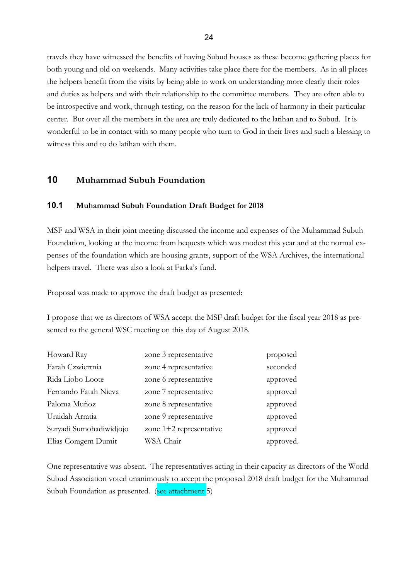travels they have witnessed the benefits of having Subud houses as these become gathering places for both young and old on weekends. Many activities take place there for the members. As in all places the helpers benefit from the visits by being able to work on understanding more clearly their roles and duties as helpers and with their relationship to the committee members. They are often able to be introspective and work, through testing, on the reason for the lack of harmony in their particular center. But over all the members in the area are truly dedicated to the latihan and to Subud. It is wonderful to be in contact with so many people who turn to God in their lives and such a blessing to witness this and to do latihan with them.

# **10 Muhammad Subuh Foundation**

#### **10.1 Muhammad Subuh Foundation Draft Budget for 2018**

MSF and WSA in their joint meeting discussed the income and expenses of the Muhammad Subuh Foundation, looking at the income from bequests which was modest this year and at the normal expenses of the foundation which are housing grants, support of the WSA Archives, the international helpers travel. There was also a look at Farka's fund.

Proposal was made to approve the draft budget as presented:

I propose that we as directors of WSA accept the MSF draft budget for the fiscal year 2018 as presented to the general WSC meeting on this day of August 2018.

| Howard Ray              | zone 3 representative     | proposed  |
|-------------------------|---------------------------|-----------|
| Farah Czwiertnia        | zone 4 representative     | seconded  |
| Rida Liobo Loote        | zone 6 representative     | approved  |
| Fernando Fatah Nieva    | zone 7 representative     | approved  |
| Paloma Muñoz            | zone 8 representative     | approved  |
| Uraidah Arratia         | zone 9 representative     | approved  |
| Suryadi Sumohadiwidjojo | zone $1+2$ representative | approved  |
| Elias Coragem Dumit     | WSA Chair                 | approved. |

One representative was absent. The representatives acting in their capacity as directors of the World Subud Association voted unanimously to accept the proposed 2018 draft budget for the Muhammad Subuh Foundation as presented. (see attachment 5)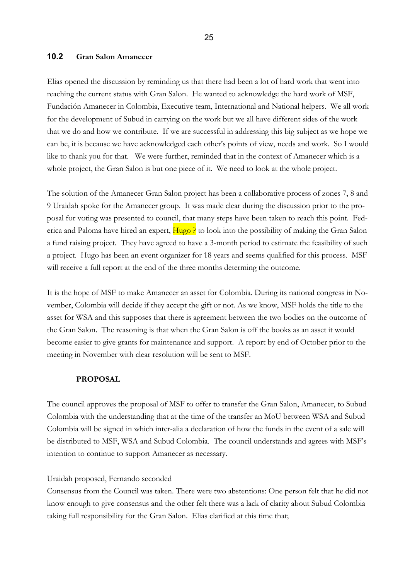#### **10.2 Gran Salon Amanecer**

Elias opened the discussion by reminding us that there had been a lot of hard work that went into reaching the current status with Gran Salon. He wanted to acknowledge the hard work of MSF, Fundación Amanecer in Colombia, Executive team, International and National helpers. We all work for the development of Subud in carrying on the work but we all have different sides of the work that we do and how we contribute. If we are successful in addressing this big subject as we hope we can be, it is because we have acknowledged each other's points of view, needs and work. So I would like to thank you for that. We were further, reminded that in the context of Amanecer which is a whole project, the Gran Salon is but one piece of it. We need to look at the whole project.

The solution of the Amanecer Gran Salon project has been a collaborative process of zones 7, 8 and 9 Uraidah spoke for the Amanecer group. It was made clear during the discussion prior to the proposal for voting was presented to council, that many steps have been taken to reach this point. Federica and Paloma have hired an expert, Hugo ? to look into the possibility of making the Gran Salon a fund raising project. They have agreed to have a 3-month period to estimate the feasibility of such a project. Hugo has been an event organizer for 18 years and seems qualified for this process. MSF will receive a full report at the end of the three months determing the outcome.

It is the hope of MSF to make Amanecer an asset for Colombia. During its national congress in November, Colombia will decide if they accept the gift or not. As we know, MSF holds the title to the asset for WSA and this supposes that there is agreement between the two bodies on the outcome of the Gran Salon. The reasoning is that when the Gran Salon is off the books as an asset it would become easier to give grants for maintenance and support. A report by end of October prior to the meeting in November with clear resolution will be sent to MSF.

#### **PROPOSAL**

The council approves the proposal of MSF to offer to transfer the Gran Salon, Amanecer, to Subud Colombia with the understanding that at the time of the transfer an MoU between WSA and Subud Colombia will be signed in which inter-alia a declaration of how the funds in the event of a sale will be distributed to MSF, WSA and Subud Colombia. The council understands and agrees with MSF's intention to continue to support Amanecer as necessary.

#### Uraidah proposed, Fernando seconded

Consensus from the Council was taken. There were two abstentions: One person felt that he did not know enough to give consensus and the other felt there was a lack of clarity about Subud Colombia taking full responsibility for the Gran Salon. Elias clarified at this time that;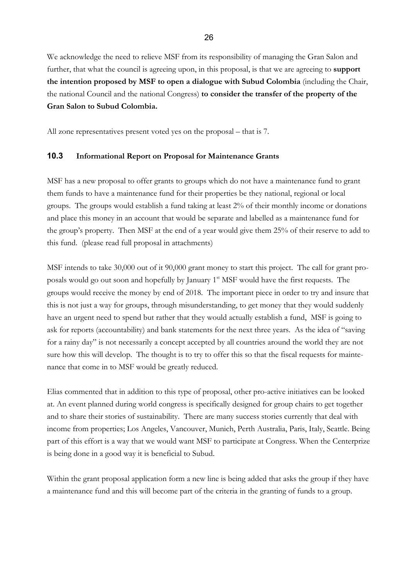We acknowledge the need to relieve MSF from its responsibility of managing the Gran Salon and further, that what the council is agreeing upon, in this proposal, is that we are agreeing to **support the intention proposed by MSF to open a dialogue with Subud Colombia** (including the Chair, the national Council and the national Congress) **to consider the transfer of the property of the Gran Salon to Subud Colombia.**

All zone representatives present voted yes on the proposal – that is 7.

# **10.3 Informational Report on Proposal for Maintenance Grants**

MSF has a new proposal to offer grants to groups which do not have a maintenance fund to grant them funds to have a maintenance fund for their properties be they national, regional or local groups. The groups would establish a fund taking at least 2% of their monthly income or donations and place this money in an account that would be separate and labelled as a maintenance fund for the group's property. Then MSF at the end of a year would give them 25% of their reserve to add to this fund. (please read full proposal in attachments)

MSF intends to take 30,000 out of it 90,000 grant money to start this project. The call for grant proposals would go out soon and hopefully by January 1<sup>st</sup> MSF would have the first requests. The groups would receive the money by end of 2018. The important piece in order to try and insure that this is not just a way for groups, through misunderstanding, to get money that they would suddenly have an urgent need to spend but rather that they would actually establish a fund, MSF is going to ask for reports (accountability) and bank statements for the next three years. As the idea of "saving for a rainy day" is not necessarily a concept accepted by all countries around the world they are not sure how this will develop. The thought is to try to offer this so that the fiscal requests for maintenance that come in to MSF would be greatly reduced.

Elias commented that in addition to this type of proposal, other pro-active initiatives can be looked at. An event planned during world congress is specifically designed for group chairs to get together and to share their stories of sustainability. There are many success stories currently that deal with income from properties; Los Angeles, Vancouver, Munich, Perth Australia, Paris, Italy, Seattle. Being part of this effort is a way that we would want MSF to participate at Congress. When the Centerprize is being done in a good way it is beneficial to Subud.

Within the grant proposal application form a new line is being added that asks the group if they have a maintenance fund and this will become part of the criteria in the granting of funds to a group.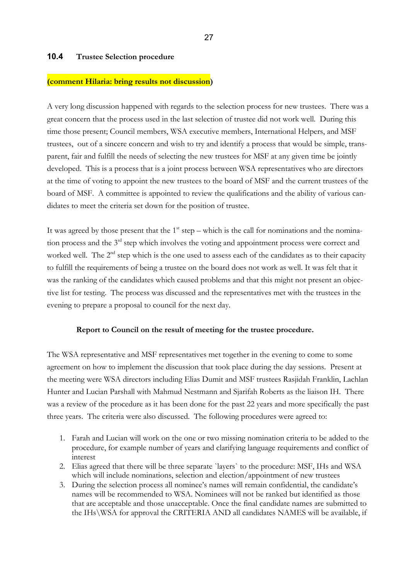### **10.4 Trustee Selection procedure**

#### **(comment Hilaria: bring results not discussion)**

A very long discussion happened with regards to the selection process for new trustees. There was a great concern that the process used in the last selection of trustee did not work well. During this time those present; Council members, WSA executive members, International Helpers, and MSF trustees, out of a sincere concern and wish to try and identify a process that would be simple, transparent, fair and fulfill the needs of selecting the new trustees for MSF at any given time be jointly developed. This is a process that is a joint process between WSA representatives who are directors at the time of voting to appoint the new trustees to the board of MSF and the current trustees of the board of MSF. A committee is appointed to review the qualifications and the ability of various candidates to meet the criteria set down for the position of trustee.

It was agreed by those present that the  $1<sup>st</sup>$  step – which is the call for nominations and the nomination process and the 3<sup>rd</sup> step which involves the voting and appointment process were correct and worked well. The 2<sup>nd</sup> step which is the one used to assess each of the candidates as to their capacity to fulfill the requirements of being a trustee on the board does not work as well. It was felt that it was the ranking of the candidates which caused problems and that this might not present an objective list for testing. The process was discussed and the representatives met with the trustees in the evening to prepare a proposal to council for the next day.

#### **Report to Council on the result of meeting for the trustee procedure.**

The WSA representative and MSF representatives met together in the evening to come to some agreement on how to implement the discussion that took place during the day sessions. Present at the meeting were WSA directors including Elias Dumit and MSF trustees Rasjidah Franklin, Lachlan Hunter and Lucian Parshall with Mahmud Nestmann and Sjarifah Roberts as the liaison IH. There was a review of the procedure as it has been done for the past 22 years and more specifically the past three years. The criteria were also discussed. The following procedures were agreed to:

- 1. Farah and Lucian will work on the one or two missing nomination criteria to be added to the procedure, for example number of years and clarifying language requirements and conflict of interest
- 2. Elias agreed that there will be three separate `layers` to the procedure: MSF, IHs and WSA which will include nominations, selection and election/appointment of new trustees
- 3. During the selection process all nominee's names will remain confidential, the candidate's names will be recommended to WSA. Nominees will not be ranked but identified as those that are acceptable and those unacceptable. Once the final candidate names are submitted to the IHs\WSA for approval the CRITERIA AND all candidates NAMES will be available, if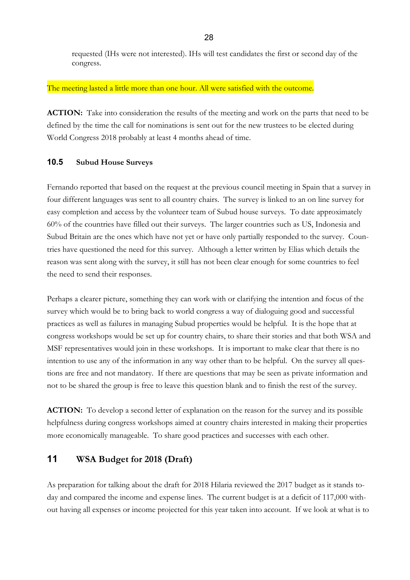requested (IHs were not interested). IHs will test candidates the first or second day of the congress.

#### The meeting lasted a little more than one hour. All were satisfied with the outcome.

**ACTION:** Take into consideration the results of the meeting and work on the parts that need to be defined by the time the call for nominations is sent out for the new trustees to be elected during World Congress 2018 probably at least 4 months ahead of time.

#### **10.5 Subud House Surveys**

Fernando reported that based on the request at the previous council meeting in Spain that a survey in four different languages was sent to all country chairs. The survey is linked to an on line survey for easy completion and access by the volunteer team of Subud house surveys. To date approximately 60% of the countries have filled out their surveys. The larger countries such as US, Indonesia and Subud Britain are the ones which have not yet or have only partially responded to the survey. Countries have questioned the need for this survey. Although a letter written by Elias which details the reason was sent along with the survey, it still has not been clear enough for some countries to feel the need to send their responses.

Perhaps a clearer picture, something they can work with or clarifying the intention and focus of the survey which would be to bring back to world congress a way of dialoguing good and successful practices as well as failures in managing Subud properties would be helpful. It is the hope that at congress workshops would be set up for country chairs, to share their stories and that both WSA and MSF representatives would join in these workshops. It is important to make clear that there is no intention to use any of the information in any way other than to be helpful. On the survey all questions are free and not mandatory. If there are questions that may be seen as private information and not to be shared the group is free to leave this question blank and to finish the rest of the survey.

**ACTION:** To develop a second letter of explanation on the reason for the survey and its possible helpfulness during congress workshops aimed at country chairs interested in making their properties more economically manageable. To share good practices and successes with each other.

# **11 WSA Budget for 2018 (Draft)**

As preparation for talking about the draft for 2018 Hilaria reviewed the 2017 budget as it stands today and compared the income and expense lines. The current budget is at a deficit of 117,000 without having all expenses or income projected for this year taken into account. If we look at what is to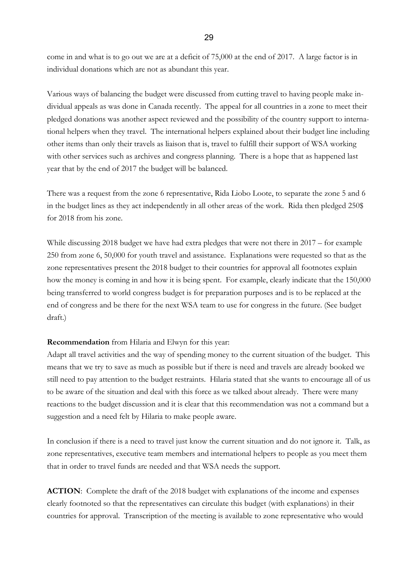come in and what is to go out we are at a deficit of 75,000 at the end of 2017. A large factor is in individual donations which are not as abundant this year.

Various ways of balancing the budget were discussed from cutting travel to having people make individual appeals as was done in Canada recently. The appeal for all countries in a zone to meet their pledged donations was another aspect reviewed and the possibility of the country support to international helpers when they travel. The international helpers explained about their budget line including other items than only their travels as liaison that is, travel to fulfill their support of WSA working with other services such as archives and congress planning. There is a hope that as happened last year that by the end of 2017 the budget will be balanced.

There was a request from the zone 6 representative, Rida Liobo Loote, to separate the zone 5 and 6 in the budget lines as they act independently in all other areas of the work. Rida then pledged 250\$ for 2018 from his zone.

While discussing 2018 budget we have had extra pledges that were not there in 2017 – for example 250 from zone 6, 50,000 for youth travel and assistance. Explanations were requested so that as the zone representatives present the 2018 budget to their countries for approval all footnotes explain how the money is coming in and how it is being spent. For example, clearly indicate that the 150,000 being transferred to world congress budget is for preparation purposes and is to be replaced at the end of congress and be there for the next WSA team to use for congress in the future. (See budget draft.)

#### **Recommendation** from Hilaria and Elwyn for this year:

Adapt all travel activities and the way of spending money to the current situation of the budget. This means that we try to save as much as possible but if there is need and travels are already booked we still need to pay attention to the budget restraints. Hilaria stated that she wants to encourage all of us to be aware of the situation and deal with this force as we talked about already. There were many reactions to the budget discussion and it is clear that this recommendation was not a command but a suggestion and a need felt by Hilaria to make people aware.

In conclusion if there is a need to travel just know the current situation and do not ignore it. Talk, as zone representatives, executive team members and international helpers to people as you meet them that in order to travel funds are needed and that WSA needs the support.

**ACTION**: Complete the draft of the 2018 budget with explanations of the income and expenses clearly footnoted so that the representatives can circulate this budget (with explanations) in their countries for approval. Transcription of the meeting is available to zone representative who would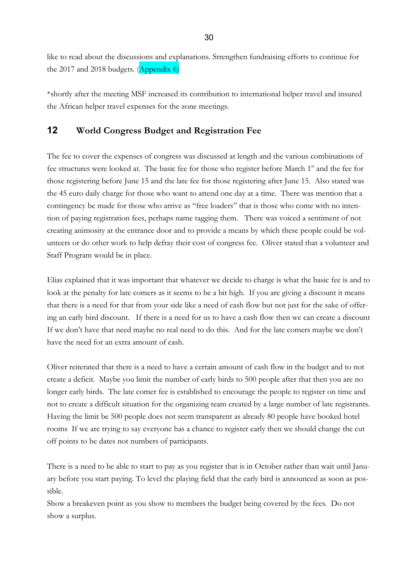like to read about the discussions and explanations. Strengthen fundraising efforts to continue for the 2017 and 2018 budgets. (Appendix 6)

\*shortly after the meeting MSF increased its contribution to international helper travel and insured the African helper travel expenses for the zone meetings.

# **12 World Congress Budget and Registration Fee**

The fee to cover the expenses of congress was discussed at length and the various combinations of fee structures were looked at. The basic fee for those who register before March 1<sup>st</sup> and the fee for those registering before June 15 and the late fee for those registering after June 15. Also stated was the 45 euro daily charge for those who want to attend one day at a time. There was mention that a contingency be made for those who arrive as "free loaders" that is those who come with no intention of paying registration fees, perhaps name tagging them. There was voiced a sentiment of not creating animosity at the entrance door and to provide a means by which these people could be volunteers or do other work to help defray their cost of congress fee. Oliver stated that a volunteer and Staff Program would be in place.

Elias explained that it was important that whatever we decide to charge is what the basic fee is and to look at the penalty for late comers as it seems to be a bit high. If you are giving a discount it means that there is a need for that from your side like a need of cash flow but not just for the sake of offering an early bird discount. If there is a need for us to have a cash flow then we can create a discount If we don't have that need maybe no real need to do this. And for the late comers maybe we don't have the need for an extra amount of cash.

Oliver reiterated that there is a need to have a certain amount of cash flow in the budget and to not create a deficit. Maybe you limit the number of early birds to 500 people after that then you are no longer early birds. The late comer fee is established to encourage the people to register on time and not to create a difficult situation for the organizing team created by a large number of late registrants. Having the limit be 500 people does not seem transparent as already 80 people have booked hotel rooms If we are trying to say everyone has a chance to register early then we should change the cut off points to be dates not numbers of participants.

There is a need to be able to start to pay as you register that is in October rather than wait until January before you start paying. To level the playing field that the early bird is announced as soon as possible.

Show a breakeven point as you show to members the budget being covered by the fees. Do not show a surplus.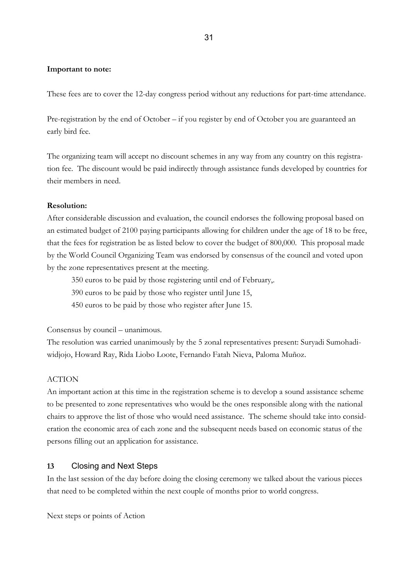#### **Important to note:**

These fees are to cover the 12-day congress period without any reductions for part-time attendance.

Pre-registration by the end of October – if you register by end of October you are guaranteed an early bird fee.

The organizing team will accept no discount schemes in any way from any country on this registration fee. The discount would be paid indirectly through assistance funds developed by countries for their members in need.

#### **Resolution:**

After considerable discussion and evaluation, the council endorses the following proposal based on an estimated budget of 2100 paying participants allowing for children under the age of 18 to be free, that the fees for registration be as listed below to cover the budget of 800,000. This proposal made by the World Council Organizing Team was endorsed by consensus of the council and voted upon by the zone representatives present at the meeting.

350 euros to be paid by those registering until end of February,.

390 euros to be paid by those who register until June 15,

450 euros to be paid by those who register after June 15.

Consensus by council – unanimous.

The resolution was carried unanimously by the 5 zonal representatives present: Suryadi Sumohadiwidjojo, Howard Ray, Rida Liobo Loote, Fernando Fatah Nieva, Paloma Muñoz.

#### ACTION

An important action at this time in the registration scheme is to develop a sound assistance scheme to be presented to zone representatives who would be the ones responsible along with the national chairs to approve the list of those who would need assistance. The scheme should take into consideration the economic area of each zone and the subsequent needs based on economic status of the persons filling out an application for assistance.

#### **13** Closing and Next Steps

In the last session of the day before doing the closing ceremony we talked about the various pieces that need to be completed within the next couple of months prior to world congress.

Next steps or points of Action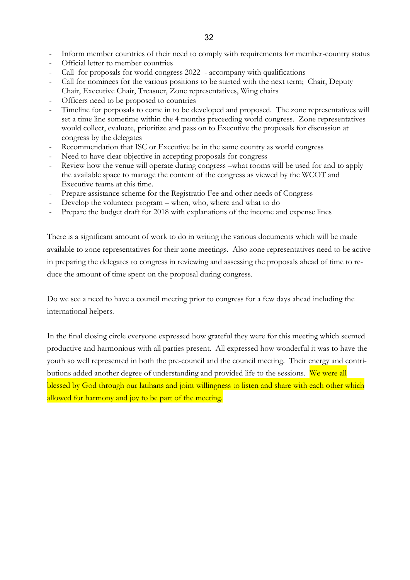- Inform member countries of their need to comply with requirements for member-country status
- Official letter to member countries
- Call for proposals for world congress 2022 accompany with qualifications
- Call for nominees for the various positions to be started with the next term; Chair, Deputy Chair, Executive Chair, Treasuer, Zone representatives, Wing chairs
- Officers need to be proposed to countries
- Timeline for porposals to come in to be developed and proposed. The zone representatives will set a time line sometime within the 4 months preceeding world congress. Zone representatives would collect, evaluate, prioritize and pass on to Executive the proposals for discussion at congress by the delegates
- Recommendation that ISC or Executive be in the same country as world congress
- Need to have clear objective in accepting proposals for congress
- Review how the venue will operate during congress –what rooms will be used for and to apply the available space to manage the content of the congress as viewed by the WCOT and Executive teams at this time.
- Prepare assistance scheme for the Registratio Fee and other needs of Congress
- Develop the volunteer program when, who, where and what to do
- Prepare the budget draft for 2018 with explanations of the income and expense lines

There is a significant amount of work to do in writing the various documents which will be made available to zone representatives for their zone meetings. Also zone representatives need to be active in preparing the delegates to congress in reviewing and assessing the proposals ahead of time to reduce the amount of time spent on the proposal during congress.

Do we see a need to have a council meeting prior to congress for a few days ahead including the international helpers.

In the final closing circle everyone expressed how grateful they were for this meeting which seemed productive and harmonious with all parties present. All expressed how wonderful it was to have the youth so well represented in both the pre-council and the council meeting. Their energy and contributions added another degree of understanding and provided life to the sessions. We were all blessed by God through our latihans and joint willingness to listen and share with each other which allowed for harmony and joy to be part of the meeting.